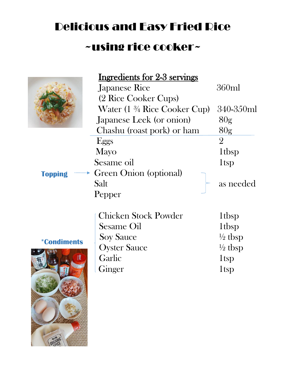## Delicious and Easy Fried Rice ~using rice cooker~



## Ingredients for 2-3 servings

|                | <b>Japanese Rice</b>                                  | 360ml           |
|----------------|-------------------------------------------------------|-----------------|
|                | (2 Rice Cooker Cups)                                  |                 |
|                | Water (1 <sup>3</sup> / <sub>4</sub> Rice Cooker Cup) | 340-350ml       |
|                | Japanese Leek (or onion)                              | 80 <sub>g</sub> |
|                | Chashu (roast pork) or ham                            | 80 <sub>g</sub> |
|                | Eggs                                                  | $\overline{2}$  |
|                | Mayo                                                  | 1tbsp           |
|                | Sesame oil                                            | 1tsp            |
| <b>Topping</b> | $\rightarrow$ Green Onion (optional)                  |                 |
|                | Salt                                                  | as needed       |
|                | Pepper                                                |                 |
|                |                                                       |                 |

## **\*Condiments**



|                           | Chicken Stock Powder | 1tbsp              |
|---------------------------|----------------------|--------------------|
| <i><b>*Condiments</b></i> | <b>Sesame Oil</b>    | 1tbsp              |
|                           | <b>Soy Sauce</b>     | $\frac{1}{2}$ tbsp |
|                           | <b>Oyster Sauce</b>  | $\frac{1}{2}$ tbsp |
|                           | Garlic               | 1tsp               |
|                           | Ginger               | 1 <sub>tsp</sub>   |